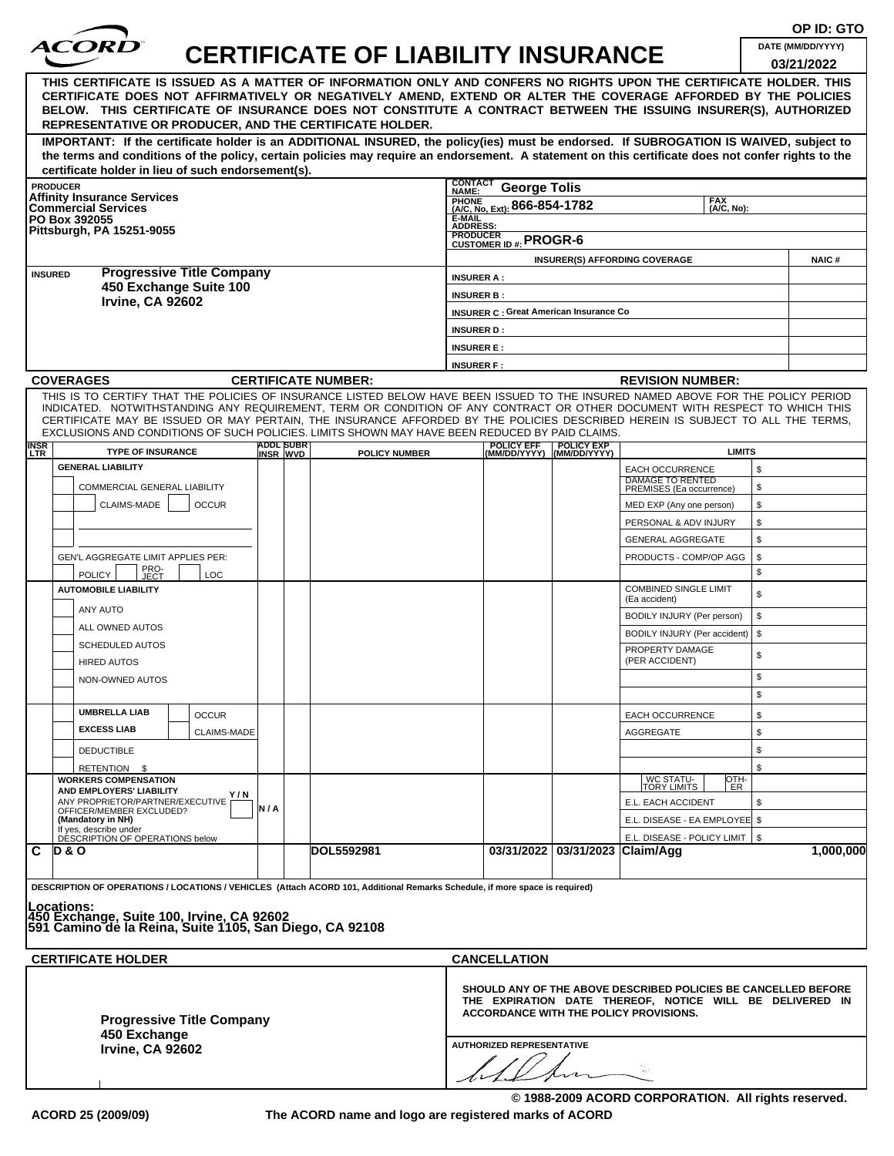| THIS CERTIFICATE IS ISSUED AS A MATTER OF INFORMATION ONLY AND CONFERS NO RIGHTS UPON THE CERTIFICATE HOLDER. THIS<br>CERTIFICATE DOES NOT AFFIRMATIVELY OR NEGATIVELY AMEND, EXTEND OR ALTER THE COVERAGE AFFORDED BY THE POLICIES<br>BELOW. THIS CERTIFICATE OF INSURANCE DOES NOT CONSTITUTE A CONTRACT BETWEEN THE ISSUING INSURER(S), AUTHORIZED<br>REPRESENTATIVE OR PRODUCER, AND THE CERTIFICATE HOLDER.<br>IMPORTANT: If the certificate holder is an ADDITIONAL INSURED, the policy(ies) must be endorsed. If SUBROGATION IS WAIVED, subject to<br>the terms and conditions of the policy, certain policies may require an endorsement. A statement on this certificate does not confer rights to the<br>certificate holder in lieu of such endorsement(s). |                                                                       |                                 | <b>CERTIFICATE OF LIABILITY INSURANCE</b>            | DATE (MM/DD/YYYY)<br>03/21/2022 |
|-----------------------------------------------------------------------------------------------------------------------------------------------------------------------------------------------------------------------------------------------------------------------------------------------------------------------------------------------------------------------------------------------------------------------------------------------------------------------------------------------------------------------------------------------------------------------------------------------------------------------------------------------------------------------------------------------------------------------------------------------------------------------|-----------------------------------------------------------------------|---------------------------------|------------------------------------------------------|---------------------------------|
|                                                                                                                                                                                                                                                                                                                                                                                                                                                                                                                                                                                                                                                                                                                                                                       |                                                                       |                                 |                                                      |                                 |
|                                                                                                                                                                                                                                                                                                                                                                                                                                                                                                                                                                                                                                                                                                                                                                       |                                                                       |                                 |                                                      |                                 |
| <b>PRODUCER</b>                                                                                                                                                                                                                                                                                                                                                                                                                                                                                                                                                                                                                                                                                                                                                       | CONTACT<br><b>George Tolis</b><br>NAME:                               |                                 |                                                      |                                 |
| <b>Affinity Insurance Services</b><br><b>Commercial Services</b>                                                                                                                                                                                                                                                                                                                                                                                                                                                                                                                                                                                                                                                                                                      | <b>FAX</b><br><b>FRUNE</b> (A/C, No. Ext): 866-854-1782<br>(A/C, No): |                                 |                                                      |                                 |
| PO Box 392055<br>Pittsburgh, PA 15251-9055                                                                                                                                                                                                                                                                                                                                                                                                                                                                                                                                                                                                                                                                                                                            | E-MAIL<br><b>ADDRESS:</b>                                             |                                 |                                                      |                                 |
|                                                                                                                                                                                                                                                                                                                                                                                                                                                                                                                                                                                                                                                                                                                                                                       | <b>PRODUCER</b><br>CUSTOMER ID #: PROGR-6                             |                                 |                                                      |                                 |
| <b>Progressive Title Company</b>                                                                                                                                                                                                                                                                                                                                                                                                                                                                                                                                                                                                                                                                                                                                      |                                                                       |                                 | <b>INSURER(S) AFFORDING COVERAGE</b>                 | <b>NAIC#</b>                    |
| <b>INSURED</b><br>450 Exchange Suite 100                                                                                                                                                                                                                                                                                                                                                                                                                                                                                                                                                                                                                                                                                                                              | <b>INSURER A:</b>                                                     |                                 |                                                      |                                 |
| <b>Irvine, CA 92602</b>                                                                                                                                                                                                                                                                                                                                                                                                                                                                                                                                                                                                                                                                                                                                               | <b>INSURER B:</b>                                                     |                                 |                                                      |                                 |
|                                                                                                                                                                                                                                                                                                                                                                                                                                                                                                                                                                                                                                                                                                                                                                       | <b>INSURER C: Great American Insurance Co</b>                         |                                 |                                                      |                                 |
|                                                                                                                                                                                                                                                                                                                                                                                                                                                                                                                                                                                                                                                                                                                                                                       | <b>INSURER D:</b><br><b>INSURER E:</b>                                |                                 |                                                      |                                 |
|                                                                                                                                                                                                                                                                                                                                                                                                                                                                                                                                                                                                                                                                                                                                                                       | <b>INSURER F:</b>                                                     |                                 |                                                      |                                 |
| <b>COVERAGES</b><br><b>CERTIFICATE NUMBER:</b>                                                                                                                                                                                                                                                                                                                                                                                                                                                                                                                                                                                                                                                                                                                        |                                                                       |                                 | <b>REVISION NUMBER:</b>                              |                                 |
| THIS IS TO CERTIFY THAT THE POLICIES OF INSURANCE LISTED BELOW HAVE BEEN ISSUED TO THE INSURED NAMED ABOVE FOR THE POLICY PERIOD<br>INDICATED. NOTWITHSTANDING ANY REQUIREMENT, TERM OR CONDITION OF ANY CONTRACT OR OTHER DOCUMENT WITH RESPECT TO WHICH THIS<br>CERTIFICATE MAY BE ISSUED OR MAY PERTAIN, THE INSURANCE AFFORDED BY THE POLICIES DESCRIBED HEREIN IS SUBJECT TO ALL THE TERMS,<br>EXCLUSIONS AND CONDITIONS OF SUCH POLICIES. LIMITS SHOWN MAY HAVE BEEN REDUCED BY PAID CLAIMS.<br><b>ADDL SUBR</b><br><b>INSR</b>                                                                                                                                                                                                                                 | <b>POLICY EFF</b>                                                     | <b>POLICY EXP</b>               |                                                      |                                 |
| <b>TYPE OF INSURANCE</b><br><b>POLICY NUMBER</b><br><b>LTR</b><br>INSR WVD<br><b>GENERAL LIABILITY</b>                                                                                                                                                                                                                                                                                                                                                                                                                                                                                                                                                                                                                                                                | (MM/DD/YYYY)                                                          | (MM/DD/YYYY)                    | <b>LIMITS</b>                                        |                                 |
| COMMERCIAL GENERAL LIABILITY                                                                                                                                                                                                                                                                                                                                                                                                                                                                                                                                                                                                                                                                                                                                          |                                                                       |                                 | <b>EACH OCCURRENCE</b><br><b>DAMAGE TO RENTED</b>    | \$<br>\$                        |
| CLAIMS-MADE<br><b>OCCUR</b>                                                                                                                                                                                                                                                                                                                                                                                                                                                                                                                                                                                                                                                                                                                                           |                                                                       |                                 | PREMISES (Ea occurrence)<br>MED EXP (Any one person) | \$                              |
|                                                                                                                                                                                                                                                                                                                                                                                                                                                                                                                                                                                                                                                                                                                                                                       |                                                                       |                                 | PERSONAL & ADV INJURY                                | \$                              |
|                                                                                                                                                                                                                                                                                                                                                                                                                                                                                                                                                                                                                                                                                                                                                                       |                                                                       |                                 | <b>GENERAL AGGREGATE</b>                             | \$                              |
| GEN'L AGGREGATE LIMIT APPLIES PER:                                                                                                                                                                                                                                                                                                                                                                                                                                                                                                                                                                                                                                                                                                                                    |                                                                       |                                 | PRODUCTS - COMP/OP AGG                               | \$                              |
| PRO-<br>JECT<br><b>POLICY</b><br>LOC                                                                                                                                                                                                                                                                                                                                                                                                                                                                                                                                                                                                                                                                                                                                  |                                                                       |                                 |                                                      | \$                              |
| <b>AUTOMOBILE LIABILITY</b>                                                                                                                                                                                                                                                                                                                                                                                                                                                                                                                                                                                                                                                                                                                                           |                                                                       |                                 | <b>COMBINED SINGLE LIMIT</b><br>(Ea accident)        | \$                              |
| ANY AUTO                                                                                                                                                                                                                                                                                                                                                                                                                                                                                                                                                                                                                                                                                                                                                              |                                                                       |                                 | BODILY INJURY (Per person)                           | \$                              |
| ALL OWNED AUTOS                                                                                                                                                                                                                                                                                                                                                                                                                                                                                                                                                                                                                                                                                                                                                       |                                                                       |                                 | BODILY INJURY (Per accident)                         | \$                              |
| SCHEDULED AUTOS                                                                                                                                                                                                                                                                                                                                                                                                                                                                                                                                                                                                                                                                                                                                                       |                                                                       |                                 | PROPERTY DAMAGE                                      | \$                              |
| <b>HIRED AUTOS</b>                                                                                                                                                                                                                                                                                                                                                                                                                                                                                                                                                                                                                                                                                                                                                    |                                                                       |                                 | (PER ACCIDENT)                                       |                                 |
| NON-OWNED AUTOS                                                                                                                                                                                                                                                                                                                                                                                                                                                                                                                                                                                                                                                                                                                                                       |                                                                       |                                 |                                                      | \$                              |
| <b>UMBRELLA LIAB</b>                                                                                                                                                                                                                                                                                                                                                                                                                                                                                                                                                                                                                                                                                                                                                  |                                                                       |                                 |                                                      | \$                              |
| <b>OCCUR</b><br><b>EXCESS LIAB</b>                                                                                                                                                                                                                                                                                                                                                                                                                                                                                                                                                                                                                                                                                                                                    |                                                                       |                                 | <b>EACH OCCURRENCE</b>                               | \$                              |
| <b>CLAIMS-MADE</b>                                                                                                                                                                                                                                                                                                                                                                                                                                                                                                                                                                                                                                                                                                                                                    |                                                                       |                                 | AGGREGATE                                            | \$                              |
| <b>DEDUCTIBLE</b>                                                                                                                                                                                                                                                                                                                                                                                                                                                                                                                                                                                                                                                                                                                                                     |                                                                       |                                 |                                                      | \$                              |
| RETENTION \$<br><b>WORKERS COMPENSATION</b>                                                                                                                                                                                                                                                                                                                                                                                                                                                                                                                                                                                                                                                                                                                           |                                                                       |                                 | WC STATU-<br> TORY LIMITS<br>OTH-                    | \$                              |
| AND EMPLOYERS' LIABILITY<br>Y / N<br>ANY PROPRIETOR/PARTNER/EXECUTIVE                                                                                                                                                                                                                                                                                                                                                                                                                                                                                                                                                                                                                                                                                                 |                                                                       |                                 | ER<br>E.L. EACH ACCIDENT                             | \$                              |
| N/A<br>OFFICER/MEMBER EXCLUDED?<br>(Mandatory in NH)                                                                                                                                                                                                                                                                                                                                                                                                                                                                                                                                                                                                                                                                                                                  |                                                                       |                                 | E.L. DISEASE - EA EMPLOYEE \$                        |                                 |
| If yes, describe under<br>DÉSCRIPTION OF OPERATIONS below                                                                                                                                                                                                                                                                                                                                                                                                                                                                                                                                                                                                                                                                                                             |                                                                       |                                 | E.L. DISEASE - POLICY LIMIT   \$                     |                                 |
| DOL5592981<br>D & O                                                                                                                                                                                                                                                                                                                                                                                                                                                                                                                                                                                                                                                                                                                                                   |                                                                       | 03/31/2022 03/31/2023 Claim/Agg |                                                      | 1,000,000                       |

**ACORD 25 (2009/09) The ACORD name and logo are registered marks of ACORD**